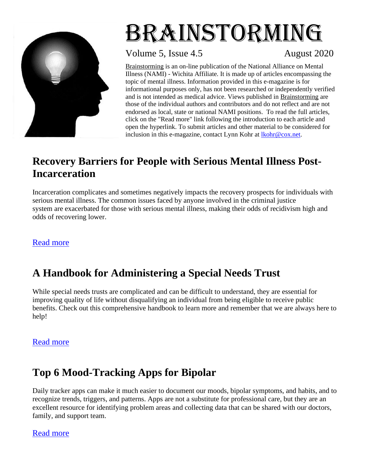

# Brainstorming

Volume 5, Issue 4.5 August 2020

Brainstorming is an on-line publication of the National Alliance on Mental Illness (NAMI) - Wichita Affiliate*.* It is made up of articles encompassing the topic of mental illness. Information provided in this e-magazine is for informational purposes only, has not been researched or independently verified and is not intended as medical advice. Views published in Brainstorming are those of the individual authors and contributors and do not reflect and are not endorsed as local, state or national NAMI positions. To read the full articles, click on the "Read more" link following the introduction to each article and open the hyperlink. To submit articles and other material to be considered for inclusion in this e-magazine, contact Lynn Kohr at [lkohr@cox.net.](about:blank)

## **Recovery Barriers for People with Serious Mental Illness Post-Incarceration**

Incarceration complicates and sometimes negatively impacts the recovery prospects for individuals with serious mental illness. The common issues faced by anyone involved in the criminal justice system are exacerbated for those with serious mental illness, making their odds of recidivism high and odds of recovering lower.

## [Read more](about:blank)

# **A Handbook for Administering a Special Needs Trust**

While special needs trusts are complicated and can be difficult to understand, they are essential for improving quality of life without disqualifying an individual from being eligible to receive public benefits. Check out this comprehensive handbook to learn more and remember that we are always here to help!

## [Read more](about:blank)

# **Top 6 Mood-Tracking Apps for Bipolar**

Daily tracker apps can make it much easier to document our moods, bipolar symptoms, and habits, and to recognize trends, triggers, and patterns. Apps are not a substitute for professional care, but they are an excellent resource for identifying problem areas and collecting data that can be shared with our doctors, family, and support team.

## [Read more](about:blank)